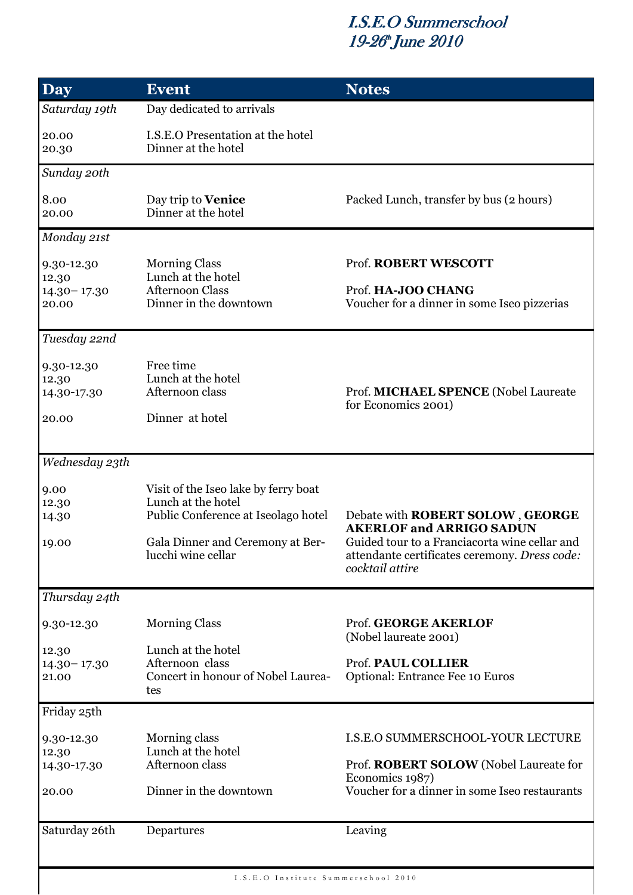#### I.S.E.O Summerschool 19-26<sup>th</sup> June 2010

| <b>Day</b>                                      | <b>Event</b>                                                                                                                                                | <b>Notes</b>                                                                                                                                                                             |
|-------------------------------------------------|-------------------------------------------------------------------------------------------------------------------------------------------------------------|------------------------------------------------------------------------------------------------------------------------------------------------------------------------------------------|
| Saturday 19th                                   | Day dedicated to arrivals                                                                                                                                   |                                                                                                                                                                                          |
| 20.00<br>20.30                                  | I.S.E.O Presentation at the hotel<br>Dinner at the hotel                                                                                                    |                                                                                                                                                                                          |
| Sunday 20th                                     |                                                                                                                                                             |                                                                                                                                                                                          |
| 8.00<br>20.00                                   | Day trip to Venice<br>Dinner at the hotel                                                                                                                   | Packed Lunch, transfer by bus (2 hours)                                                                                                                                                  |
| Monday 21st                                     |                                                                                                                                                             |                                                                                                                                                                                          |
| 9.30-12.30<br>12.30<br>$14.30 - 17.30$<br>20.00 | <b>Morning Class</b><br>Lunch at the hotel<br><b>Afternoon Class</b><br>Dinner in the downtown                                                              | Prof. ROBERT WESCOTT<br>Prof. HA-JOO CHANG<br>Voucher for a dinner in some Iseo pizzerias                                                                                                |
| Tuesday 22nd                                    |                                                                                                                                                             |                                                                                                                                                                                          |
| 9.30-12.30<br>12.30<br>14.30-17.30              | Free time<br>Lunch at the hotel<br>Afternoon class                                                                                                          | Prof. MICHAEL SPENCE (Nobel Laureate<br>for Economics 2001)                                                                                                                              |
| 20.00                                           | Dinner at hotel                                                                                                                                             |                                                                                                                                                                                          |
| Wednesday 23th                                  |                                                                                                                                                             |                                                                                                                                                                                          |
| 9.00<br>12.30<br>14.30<br>19.00                 | Visit of the Iseo lake by ferry boat<br>Lunch at the hotel<br>Public Conference at Iseolago hotel<br>Gala Dinner and Ceremony at Ber-<br>lucchi wine cellar | Debate with ROBERT SOLOW, GEORGE<br><b>AKERLOF and ARRIGO SADUN</b><br>Guided tour to a Franciacorta wine cellar and<br>attendante certificates ceremony. Dress code:<br>cocktail attire |
| Thursday 24th                                   |                                                                                                                                                             |                                                                                                                                                                                          |
| 9.30-12.30                                      | <b>Morning Class</b>                                                                                                                                        | Prof. GEORGE AKERLOF<br>(Nobel laureate 2001)                                                                                                                                            |
| 12.30<br>$14.30 - 17.30$<br>21.00               | Lunch at the hotel<br>Afternoon class<br>Concert in honour of Nobel Laurea-<br>tes                                                                          | Prof. PAUL COLLIER<br>Optional: Entrance Fee 10 Euros                                                                                                                                    |
| Friday 25th                                     |                                                                                                                                                             |                                                                                                                                                                                          |
| 9.30-12.30<br>12.30<br>14.30-17.30<br>20.00     | Morning class<br>Lunch at the hotel<br>Afternoon class<br>Dinner in the downtown                                                                            | <b>I.S.E.O SUMMERSCHOOL-YOUR LECTURE</b><br>Prof. ROBERT SOLOW (Nobel Laureate for<br>Economics 1987)<br>Voucher for a dinner in some Iseo restaurants                                   |
| Saturday 26th                                   | Departures                                                                                                                                                  | Leaving                                                                                                                                                                                  |
| I.S.E.O Institute Summerschool 2010             |                                                                                                                                                             |                                                                                                                                                                                          |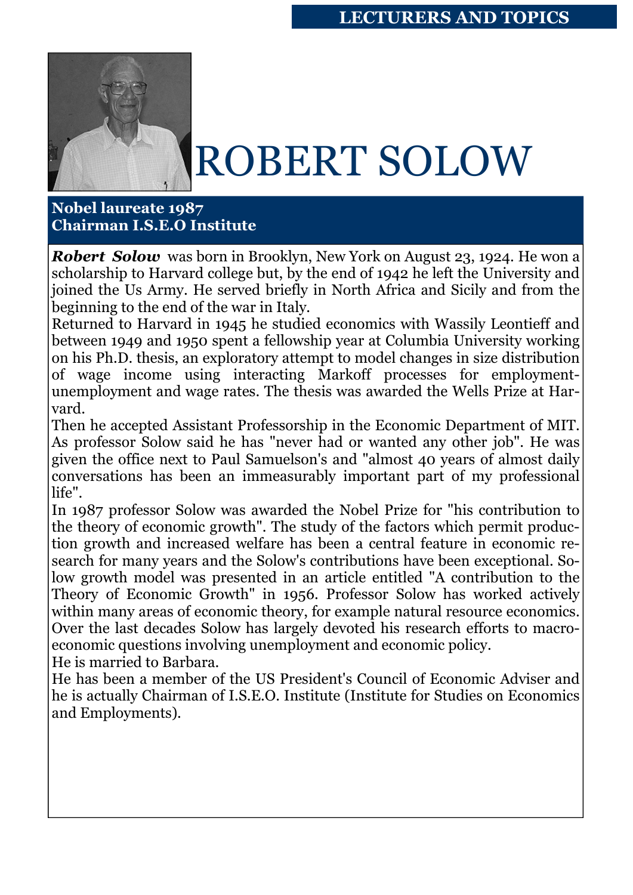

## ROBERT SOLOW

**Nobel laureate 1987 Chairman I.S.E.O Institute** 

*Robert Solow* was born in Brooklyn, New York on August 23, 1924. He won a scholarship to Harvard college but, by the end of 1942 he left the University and joined the Us Army. He served briefly in North Africa and Sicily and from the beginning to the end of the war in Italy.

Returned to Harvard in 1945 he studied economics with Wassily Leontieff and between 1949 and 1950 spent a fellowship year at Columbia University working on his Ph.D. thesis, an exploratory attempt to model changes in size distribution of wage income using interacting Markoff processes for employmentunemployment and wage rates. The thesis was awarded the Wells Prize at Harvard.

Then he accepted Assistant Professorship in the Economic Department of MIT. As professor Solow said he has "never had or wanted any other job". He was given the office next to Paul Samuelson's and "almost 40 years of almost daily conversations has been an immeasurably important part of my professional life".

In 1987 professor Solow was awarded the Nobel Prize for "his contribution to the theory of economic growth". The study of the factors which permit production growth and increased welfare has been a central feature in economic research for many years and the Solow's contributions have been exceptional. Solow growth model was presented in an article entitled "A contribution to the Theory of Economic Growth" in 1956. Professor Solow has worked actively within many areas of economic theory, for example natural resource economics. Over the last decades Solow has largely devoted his research efforts to macroeconomic questions involving unemployment and economic policy.

He is married to Barbara.

He has been a member of the US President's Council of Economic Adviser and he is actually Chairman of I.S.E.O. Institute (Institute for Studies on Economics and Employments).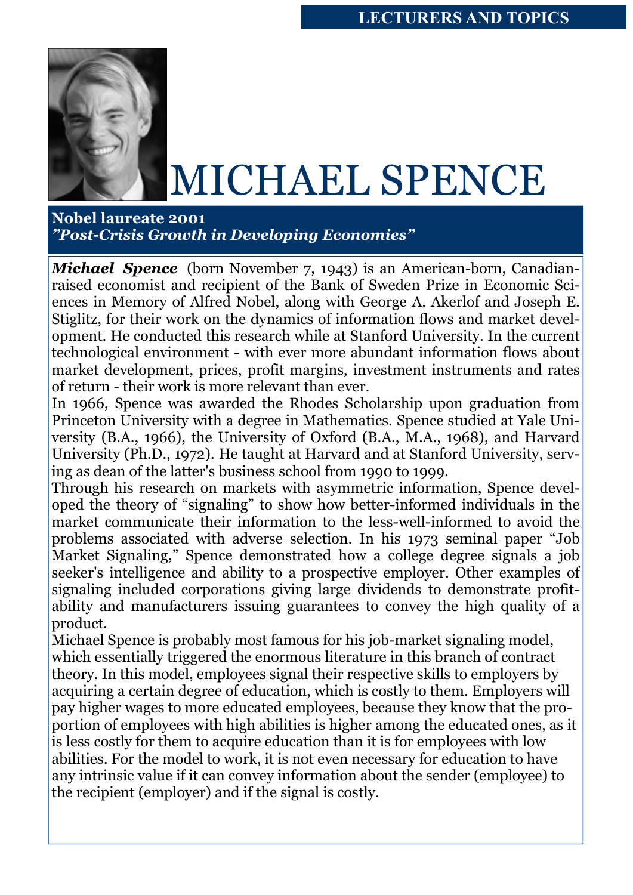

### MICHAEL SPENCE

**Nobel laureate 2001**  *"Post-Crisis Growth in Developing Economies"* 

*Michael Spence* (born November 7, 1943) is an American-born, Canadianraised economist and recipient of the Bank of Sweden Prize in Economic Sciences in Memory of Alfred Nobel, along with George A. Akerlof and Joseph E. Stiglitz, for their work on the dynamics of information flows and market development. He conducted this research while at Stanford University. In the current technological environment - with ever more abundant information flows about market development, prices, profit margins, investment instruments and rates of return - their work is more relevant than ever.

In 1966, Spence was awarded the Rhodes Scholarship upon graduation from Princeton University with a degree in Mathematics. Spence studied at Yale University (B.A., 1966), the University of Oxford (B.A., M.A., 1968), and Harvard University (Ph.D., 1972). He taught at Harvard and at Stanford University, serving as dean of the latter's business school from 1990 to 1999.

Through his research on markets with asymmetric information, Spence developed the theory of "signaling" to show how better-informed individuals in the market communicate their information to the less-well-informed to avoid the problems associated with adverse selection. In his 1973 seminal paper "Job Market Signaling," Spence demonstrated how a college degree signals a job seeker's intelligence and ability to a prospective employer. Other examples of signaling included corporations giving large dividends to demonstrate profitability and manufacturers issuing guarantees to convey the high quality of a product.

Michael Spence is probably most famous for his job-market signaling model, which essentially triggered the enormous literature in this branch of contract theory. In this model, employees signal their respective skills to employers by acquiring a certain degree of education, which is costly to them. Employers will pay higher wages to more educated employees, because they know that the proportion of employees with high abilities is higher among the educated ones, as it is less costly for them to acquire education than it is for employees with low abilities. For the model to work, it is not even necessary for education to have any intrinsic value if it can convey information about the sender (employee) to the recipient (employer) and if the signal is costly.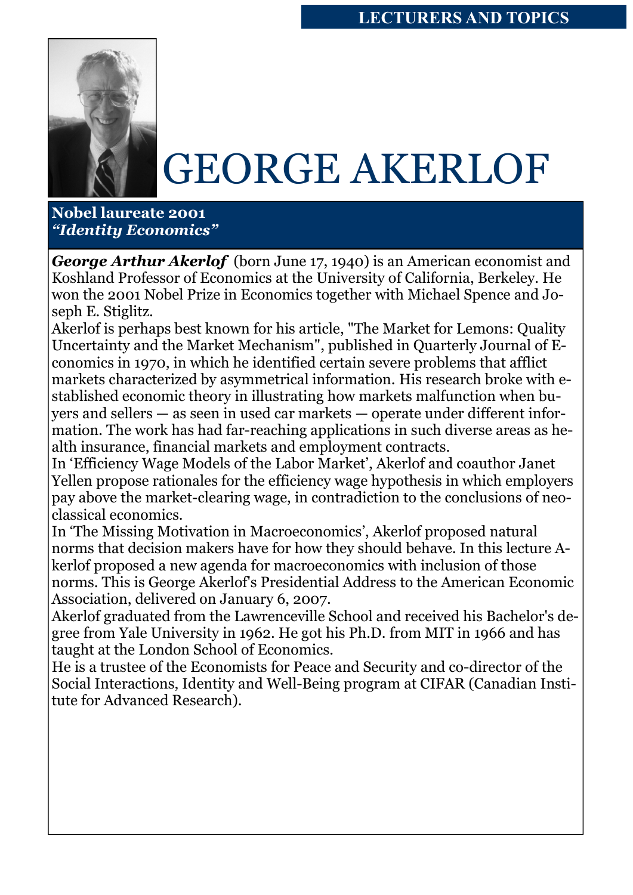

## GEORGE AKERLOF

**Nobel laureate 2001**  *"Identity Economics"* 

*George Arthur Akerlof* (born June 17, 1940) is an American economist and Koshland Professor of Economics at the University of California, Berkeley. He won the 2001 Nobel Prize in Economics together with Michael Spence and Joseph E. Stiglitz.

Akerlof is perhaps best known for his article, "The Market for Lemons: Quality Uncertainty and the Market Mechanism", published in Quarterly Journal of Economics in 1970, in which he identified certain severe problems that afflict markets characterized by asymmetrical information. His research broke with established economic theory in illustrating how markets malfunction when buyers and sellers — as seen in used car markets — operate under different information. The work has had far-reaching applications in such diverse areas as health insurance, financial markets and employment contracts.

In 'Efficiency Wage Models of the Labor Market', Akerlof and coauthor Janet Yellen propose rationales for the efficiency wage hypothesis in which employers pay above the market-clearing wage, in contradiction to the conclusions of neoclassical economics.

In 'The Missing Motivation in Macroeconomics', Akerlof proposed natural norms that decision makers have for how they should behave. In this lecture Akerlof proposed a new agenda for macroeconomics with inclusion of those norms. This is George Akerlof's Presidential Address to the American Economic Association, delivered on January 6, 2007.

Akerlof graduated from the Lawrenceville School and received his Bachelor's degree from Yale University in 1962. He got his Ph.D. from MIT in 1966 and has taught at the London School of Economics.

He is a trustee of the Economists for Peace and Security and co-director of the Social Interactions, Identity and Well-Being program at CIFAR (Canadian Institute for Advanced Research).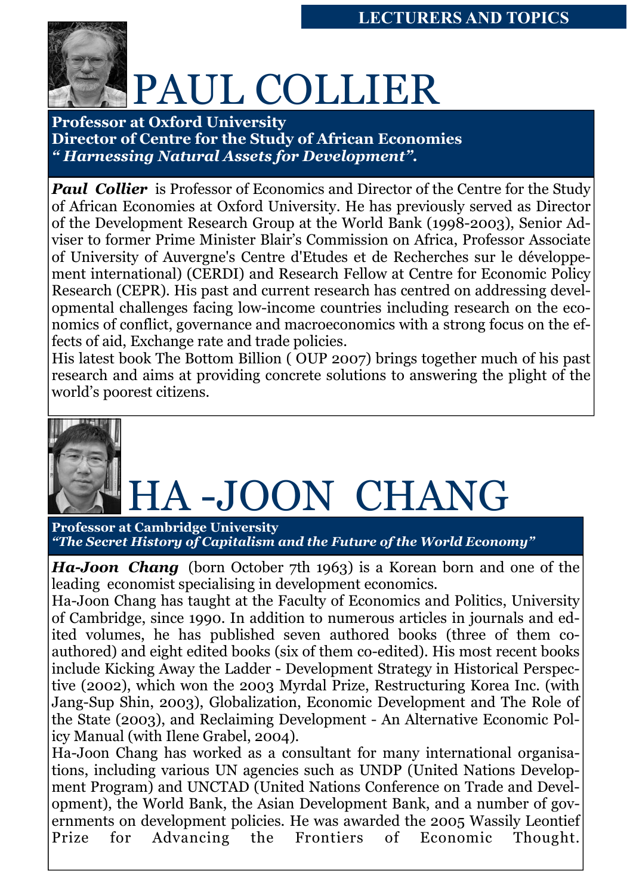

# PAUL COLLIER

**Professor at Oxford University Director of Centre for the Study of African Economies**  *" Harnessing Natural Assets for Development".* 

**Paul Collier** is Professor of Economics and Director of the Centre for the Study of African Economies at Oxford University. He has previously served as Director of the Development Research Group at the World Bank (1998-2003), Senior Adviser to former Prime Minister Blair's Commission on Africa, Professor Associate of University of Auvergne's Centre d'Etudes et de Recherches sur le développement international) (CERDI) and Research Fellow at Centre for Economic Policy Research (CEPR). His past and current research has centred on addressing developmental challenges facing low-income countries including research on the economics of conflict, governance and macroeconomics with a strong focus on the effects of aid, Exchange rate and trade policies.

His latest book The Bottom Billion ( OUP 2007) brings together much of his past research and aims at providing concrete solutions to answering the plight of the world's poorest citizens.



# A-JOON CHANG

**Professor at Cambridge University**  *"The Secret History of Capitalism and the Future of the World Economy"* 

*Ha-Joon Chang* (born October 7th 1963) is a Korean born and one of the leading economist specialising in development economics.

Ha-Joon Chang has taught at the Faculty of Economics and Politics, University of Cambridge, since 1990. In addition to numerous articles in journals and edited volumes, he has published seven authored books (three of them coauthored) and eight edited books (six of them co-edited). His most recent books include Kicking Away the Ladder - Development Strategy in Historical Perspective (2002), which won the 2003 Myrdal Prize, Restructuring Korea Inc. (with Jang-Sup Shin, 2003), Globalization, Economic Development and The Role of the State (2003), and Reclaiming Development - An Alternative Economic Policy Manual (with Ilene Grabel, 2004).

Ha-Joon Chang has worked as a consultant for many international organisations, including various UN agencies such as UNDP (United Nations Development Program) and UNCTAD (United Nations Conference on Trade and Development), the World Bank, the Asian Development Bank, and a number of governments on development policies. He was awarded the 2005 Wassily Leontief Prize for Advancing the Frontiers of Economic Thought.